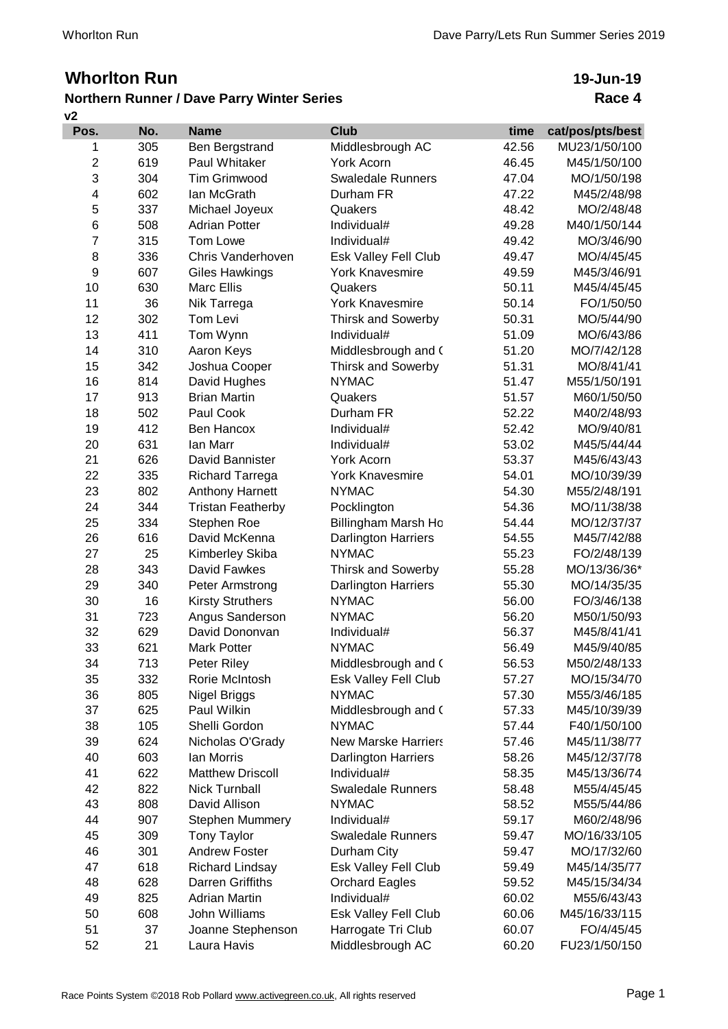## **Whorlton Run**

## **v2 Northern Runner / Dave Parry Winter Series**

## **19-Jun-19 Race 4**

| Pos.             | No. | <b>Name</b>              | <b>Club</b>                | time  | cat/pos/pts/best |
|------------------|-----|--------------------------|----------------------------|-------|------------------|
| 1                | 305 | Ben Bergstrand           | Middlesbrough AC           | 42.56 | MU23/1/50/100    |
| $\boldsymbol{2}$ | 619 | Paul Whitaker            | York Acorn                 | 46.45 | M45/1/50/100     |
| 3                | 304 | <b>Tim Grimwood</b>      | <b>Swaledale Runners</b>   | 47.04 | MO/1/50/198      |
| 4                | 602 | lan McGrath              | Durham FR                  | 47.22 | M45/2/48/98      |
| 5                | 337 | Michael Joyeux           | Quakers                    | 48.42 | MO/2/48/48       |
| 6                | 508 | <b>Adrian Potter</b>     | Individual#                | 49.28 | M40/1/50/144     |
| 7                | 315 | Tom Lowe                 | Individual#                | 49.42 | MO/3/46/90       |
| 8                | 336 | Chris Vanderhoven        | Esk Valley Fell Club       | 49.47 | MO/4/45/45       |
| 9                | 607 | <b>Giles Hawkings</b>    | <b>York Knavesmire</b>     | 49.59 | M45/3/46/91      |
| 10               | 630 | Marc Ellis               | Quakers                    | 50.11 | M45/4/45/45      |
| 11               | 36  | Nik Tarrega              | <b>York Knavesmire</b>     | 50.14 | FO/1/50/50       |
| 12               | 302 | Tom Levi                 | <b>Thirsk and Sowerby</b>  | 50.31 | MO/5/44/90       |
| 13               | 411 | Tom Wynn                 | Individual#                | 51.09 | MO/6/43/86       |
| 14               | 310 | Aaron Keys               | Middlesbrough and (        | 51.20 | MO/7/42/128      |
| 15               | 342 | Joshua Cooper            | <b>Thirsk and Sowerby</b>  | 51.31 | MO/8/41/41       |
| 16               | 814 | David Hughes             | <b>NYMAC</b>               | 51.47 | M55/1/50/191     |
| 17               | 913 | <b>Brian Martin</b>      | Quakers                    | 51.57 | M60/1/50/50      |
| 18               | 502 | Paul Cook                | Durham FR                  | 52.22 | M40/2/48/93      |
| 19               | 412 | Ben Hancox               | Individual#                | 52.42 | MO/9/40/81       |
| 20               | 631 | <b>lan Marr</b>          | Individual#                | 53.02 | M45/5/44/44      |
| 21               | 626 | David Bannister          | York Acorn                 | 53.37 | M45/6/43/43      |
| 22               | 335 | <b>Richard Tarrega</b>   | <b>York Knavesmire</b>     | 54.01 | MO/10/39/39      |
| 23               | 802 | Anthony Harnett          | <b>NYMAC</b>               | 54.30 | M55/2/48/191     |
| 24               | 344 | <b>Tristan Featherby</b> | Pocklington                | 54.36 | MO/11/38/38      |
| 25               | 334 | Stephen Roe              | Billingham Marsh Ho        | 54.44 | MO/12/37/37      |
| 26               | 616 | David McKenna            | Darlington Harriers        | 54.55 | M45/7/42/88      |
| 27               | 25  | Kimberley Skiba          | <b>NYMAC</b>               | 55.23 | FO/2/48/139      |
| 28               | 343 | David Fawkes             | <b>Thirsk and Sowerby</b>  | 55.28 | MO/13/36/36*     |
| 29               | 340 | Peter Armstrong          | Darlington Harriers        | 55.30 | MO/14/35/35      |
| 30               | 16  | <b>Kirsty Struthers</b>  | <b>NYMAC</b>               | 56.00 | FO/3/46/138      |
| 31               | 723 | Angus Sanderson          | <b>NYMAC</b>               | 56.20 | M50/1/50/93      |
| 32               | 629 | David Dononvan           | Individual#                | 56.37 | M45/8/41/41      |
| 33               | 621 | <b>Mark Potter</b>       | <b>NYMAC</b>               | 56.49 | M45/9/40/85      |
| 34               | 713 | Peter Riley              | Middlesbrough and (        | 56.53 | M50/2/48/133     |
| 35               | 332 | Rorie McIntosh           | Esk Valley Fell Club       | 57.27 | MO/15/34/70      |
| 36               | 805 | Nigel Briggs             | <b>NYMAC</b>               | 57.30 | M55/3/46/185     |
| 37               | 625 | Paul Wilkin              | Middlesbrough and (        | 57.33 | M45/10/39/39     |
| 38               | 105 | Shelli Gordon            | <b>NYMAC</b>               | 57.44 | F40/1/50/100     |
| 39               | 624 | Nicholas O'Grady         | <b>New Marske Harriers</b> | 57.46 | M45/11/38/77     |
| 40               | 603 | lan Morris               | Darlington Harriers        | 58.26 | M45/12/37/78     |
| 41               | 622 | <b>Matthew Driscoll</b>  | Individual#                | 58.35 | M45/13/36/74     |
| 42               | 822 | <b>Nick Turnball</b>     | <b>Swaledale Runners</b>   | 58.48 | M55/4/45/45      |
| 43               | 808 | David Allison            | <b>NYMAC</b>               | 58.52 | M55/5/44/86      |
| 44               | 907 | <b>Stephen Mummery</b>   | Individual#                | 59.17 | M60/2/48/96      |
| 45               | 309 | <b>Tony Taylor</b>       | <b>Swaledale Runners</b>   | 59.47 | MO/16/33/105     |
| 46               | 301 | <b>Andrew Foster</b>     | Durham City                | 59.47 | MO/17/32/60      |
| 47               | 618 | <b>Richard Lindsay</b>   | Esk Valley Fell Club       | 59.49 | M45/14/35/77     |
| 48               | 628 | Darren Griffiths         | <b>Orchard Eagles</b>      | 59.52 | M45/15/34/34     |
| 49               | 825 | <b>Adrian Martin</b>     | Individual#                | 60.02 | M55/6/43/43      |
| 50               | 608 | John Williams            | Esk Valley Fell Club       | 60.06 | M45/16/33/115    |
| 51               | 37  | Joanne Stephenson        | Harrogate Tri Club         | 60.07 | FO/4/45/45       |
| 52               | 21  | Laura Havis              | Middlesbrough AC           | 60.20 | FU23/1/50/150    |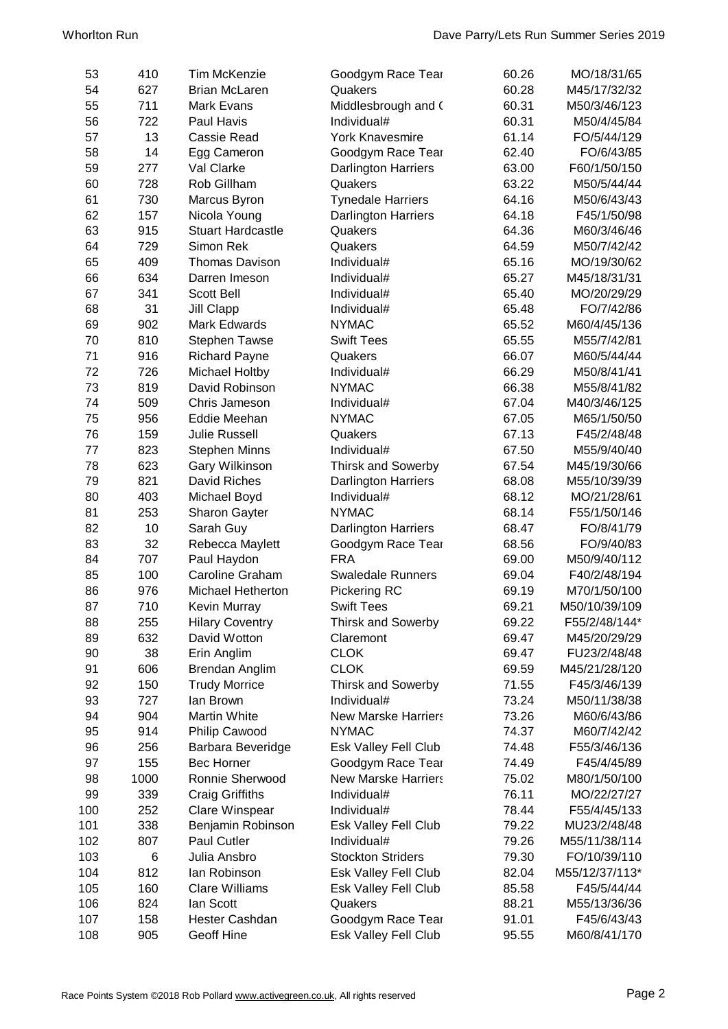| 53  | 410  | <b>Tim McKenzie</b>      | Goodgym Race Tear          | 60.26 | MO/18/31/65    |
|-----|------|--------------------------|----------------------------|-------|----------------|
| 54  | 627  | <b>Brian McLaren</b>     | Quakers                    | 60.28 | M45/17/32/32   |
| 55  | 711  | Mark Evans               | Middlesbrough and (        | 60.31 | M50/3/46/123   |
| 56  | 722  | Paul Havis               | Individual#                | 60.31 | M50/4/45/84    |
| 57  | 13   | <b>Cassie Read</b>       | <b>York Knavesmire</b>     | 61.14 | FO/5/44/129    |
| 58  | 14   | Egg Cameron              | Goodgym Race Tear          | 62.40 | FO/6/43/85     |
| 59  | 277  | Val Clarke               | <b>Darlington Harriers</b> | 63.00 | F60/1/50/150   |
| 60  | 728  | Rob Gillham              | Quakers                    | 63.22 | M50/5/44/44    |
| 61  | 730  | Marcus Byron             | <b>Tynedale Harriers</b>   | 64.16 | M50/6/43/43    |
| 62  | 157  | Nicola Young             | <b>Darlington Harriers</b> | 64.18 | F45/1/50/98    |
| 63  | 915  | <b>Stuart Hardcastle</b> | Quakers                    | 64.36 | M60/3/46/46    |
| 64  | 729  | Simon Rek                | Quakers                    | 64.59 | M50/7/42/42    |
| 65  | 409  | <b>Thomas Davison</b>    | Individual#                | 65.16 | MO/19/30/62    |
| 66  | 634  | Darren Imeson            | Individual#                | 65.27 | M45/18/31/31   |
| 67  | 341  | <b>Scott Bell</b>        | Individual#                | 65.40 | MO/20/29/29    |
| 68  | 31   | Jill Clapp               | Individual#                | 65.48 | FO/7/42/86     |
| 69  | 902  | <b>Mark Edwards</b>      | <b>NYMAC</b>               | 65.52 | M60/4/45/136   |
| 70  |      |                          | <b>Swift Tees</b>          | 65.55 |                |
|     | 810  | <b>Stephen Tawse</b>     |                            |       | M55/7/42/81    |
| 71  | 916  | <b>Richard Payne</b>     | Quakers                    | 66.07 | M60/5/44/44    |
| 72  | 726  | Michael Holtby           | Individual#                | 66.29 | M50/8/41/41    |
| 73  | 819  | David Robinson           | <b>NYMAC</b>               | 66.38 | M55/8/41/82    |
| 74  | 509  | Chris Jameson            | Individual#                | 67.04 | M40/3/46/125   |
| 75  | 956  | Eddie Meehan             | <b>NYMAC</b>               | 67.05 | M65/1/50/50    |
| 76  | 159  | <b>Julie Russell</b>     | Quakers                    | 67.13 | F45/2/48/48    |
| 77  | 823  | <b>Stephen Minns</b>     | Individual#                | 67.50 | M55/9/40/40    |
| 78  | 623  | Gary Wilkinson           | <b>Thirsk and Sowerby</b>  | 67.54 | M45/19/30/66   |
| 79  | 821  | David Riches             | <b>Darlington Harriers</b> | 68.08 | M55/10/39/39   |
| 80  | 403  | Michael Boyd             | Individual#                | 68.12 | MO/21/28/61    |
| 81  | 253  | Sharon Gayter            | <b>NYMAC</b>               | 68.14 | F55/1/50/146   |
| 82  | 10   | Sarah Guy                | <b>Darlington Harriers</b> | 68.47 | FO/8/41/79     |
| 83  | 32   | Rebecca Maylett          | Goodgym Race Tear          | 68.56 | FO/9/40/83     |
| 84  | 707  | Paul Haydon              | <b>FRA</b>                 | 69.00 | M50/9/40/112   |
| 85  | 100  | Caroline Graham          | <b>Swaledale Runners</b>   | 69.04 | F40/2/48/194   |
| 86  | 976  | Michael Hetherton        | Pickering RC               | 69.19 | M70/1/50/100   |
| 87  | 710  | Kevin Murray             | <b>Swift Tees</b>          | 69.21 | M50/10/39/109  |
| 88  | 255  | <b>Hilary Coventry</b>   | <b>Thirsk and Sowerby</b>  | 69.22 | F55/2/48/144*  |
| 89  | 632  | David Wotton             | Claremont                  | 69.47 | M45/20/29/29   |
| 90  | 38   | Erin Anglim              | <b>CLOK</b>                | 69.47 | FU23/2/48/48   |
| 91  | 606  | Brendan Anglim           | <b>CLOK</b>                | 69.59 | M45/21/28/120  |
| 92  | 150  | <b>Trudy Morrice</b>     | <b>Thirsk and Sowerby</b>  | 71.55 | F45/3/46/139   |
| 93  | 727  | lan Brown                | Individual#                | 73.24 | M50/11/38/38   |
| 94  | 904  | Martin White             | <b>New Marske Harriers</b> | 73.26 | M60/6/43/86    |
| 95  | 914  | Philip Cawood            | <b>NYMAC</b>               | 74.37 | M60/7/42/42    |
| 96  | 256  | Barbara Beveridge        | Esk Valley Fell Club       | 74.48 | F55/3/46/136   |
| 97  | 155  | <b>Bec Horner</b>        | Goodgym Race Tear          | 74.49 | F45/4/45/89    |
| 98  | 1000 | Ronnie Sherwood          | <b>New Marske Harriers</b> | 75.02 | M80/1/50/100   |
| 99  | 339  | <b>Craig Griffiths</b>   | Individual#                | 76.11 | MO/22/27/27    |
|     |      |                          |                            |       |                |
| 100 | 252  | Clare Winspear           | Individual#                | 78.44 | F55/4/45/133   |
| 101 | 338  | Benjamin Robinson        | Esk Valley Fell Club       | 79.22 | MU23/2/48/48   |
| 102 | 807  | Paul Cutler              | Individual#                | 79.26 | M55/11/38/114  |
| 103 | 6    | Julia Ansbro             | <b>Stockton Striders</b>   | 79.30 | FO/10/39/110   |
| 104 | 812  | lan Robinson             | Esk Valley Fell Club       | 82.04 | M55/12/37/113* |
| 105 | 160  | <b>Clare Williams</b>    | Esk Valley Fell Club       | 85.58 | F45/5/44/44    |
| 106 | 824  | lan Scott                | Quakers                    | 88.21 | M55/13/36/36   |
| 107 | 158  | Hester Cashdan           | Goodgym Race Tear          | 91.01 | F45/6/43/43    |
| 108 | 905  | Geoff Hine               | Esk Valley Fell Club       | 95.55 | M60/8/41/170   |